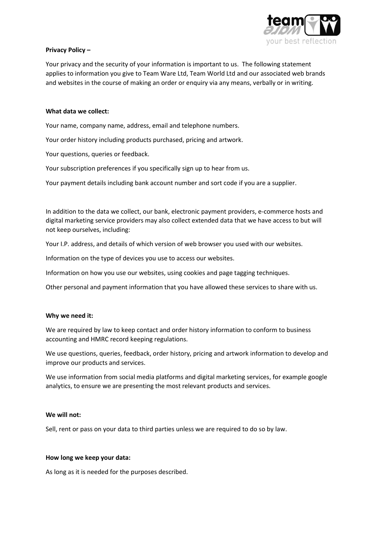

# Privacy Policy –

Your privacy and the security of your information is important to us. The following statement applies to information you give to Team Ware Ltd, Team World Ltd and our associated web brands and websites in the course of making an order or enquiry via any means, verbally or in writing.

# What data we collect:

Your name, company name, address, email and telephone numbers.

Your order history including products purchased, pricing and artwork.

Your questions, queries or feedback.

Your subscription preferences if you specifically sign up to hear from us.

Your payment details including bank account number and sort code if you are a supplier.

In addition to the data we collect, our bank, electronic payment providers, e-commerce hosts and digital marketing service providers may also collect extended data that we have access to but will not keep ourselves, including:

Your I.P. address, and details of which version of web browser you used with our websites.

Information on the type of devices you use to access our websites.

Information on how you use our websites, using cookies and page tagging techniques.

Other personal and payment information that you have allowed these services to share with us.

## Why we need it:

We are required by law to keep contact and order history information to conform to business accounting and HMRC record keeping regulations.

We use questions, queries, feedback, order history, pricing and artwork information to develop and improve our products and services.

We use information from social media platforms and digital marketing services, for example google analytics, to ensure we are presenting the most relevant products and services.

## We will not:

Sell, rent or pass on your data to third parties unless we are required to do so by law.

## How long we keep your data:

As long as it is needed for the purposes described.